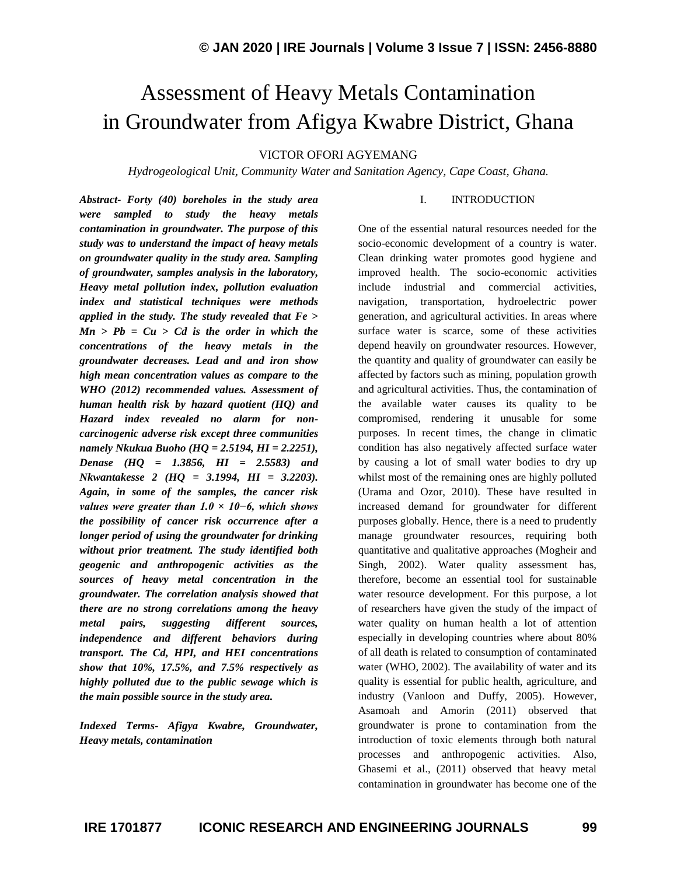# Assessment of Heavy Metals Contamination in Groundwater from Afigya Kwabre District, Ghana

VICTOR OFORI AGYEMANG

*Hydrogeological Unit, Community Water and Sanitation Agency, Cape Coast, Ghana.*

*Abstract- Forty (40) boreholes in the study area were sampled to study the heavy metals contamination in groundwater. The purpose of this study was to understand the impact of heavy metals on groundwater quality in the study area. Sampling of groundwater, samples analysis in the laboratory, Heavy metal pollution index, pollution evaluation index and statistical techniques were methods applied in the study. The study revealed that Fe > Mn > Pb = Cu > Cd is the order in which the concentrations of the heavy metals in the groundwater decreases. Lead and and iron show high mean concentration values as compare to the WHO (2012) recommended values. Assessment of human health risk by hazard quotient (HQ) and Hazard index revealed no alarm for noncarcinogenic adverse risk except three communities namely Nkukua Buoho (HQ = 2.5194, HI = 2.2251), Denase (HQ = 1.3856, HI = 2.5583) and Nkwantakesse 2 (HQ = 3.1994, HI = 3.2203). Again, in some of the samples, the cancer risk values were greater than 1.0 × 10−6, which shows the possibility of cancer risk occurrence after a longer period of using the groundwater for drinking without prior treatment. The study identified both geogenic and anthropogenic activities as the sources of heavy metal concentration in the groundwater. The correlation analysis showed that there are no strong correlations among the heavy metal pairs, suggesting different sources, independence and different behaviors during transport. The Cd, HPI, and HEI concentrations show that 10%, 17.5%, and 7.5% respectively as highly polluted due to the public sewage which is the main possible source in the study area.*

*Indexed Terms- Afigya Kwabre, Groundwater, Heavy metals, contamination*

#### I. INTRODUCTION

One of the essential natural resources needed for the socio-economic development of a country is water. Clean drinking water promotes good hygiene and improved health. The socio-economic activities include industrial and commercial activities, navigation, transportation, hydroelectric power generation, and agricultural activities. In areas where surface water is scarce, some of these activities depend heavily on groundwater resources. However, the quantity and quality of groundwater can easily be affected by factors such as mining, population growth and agricultural activities. Thus, the contamination of the available water causes its quality to be compromised, rendering it unusable for some purposes. In recent times, the change in climatic condition has also negatively affected surface water by causing a lot of small water bodies to dry up whilst most of the remaining ones are highly polluted (Urama and Ozor, 2010). These have resulted in increased demand for groundwater for different purposes globally. Hence, there is a need to prudently manage groundwater resources, requiring both quantitative and qualitative approaches (Mogheir and Singh, 2002). Water quality assessment has, therefore, become an essential tool for sustainable water resource development. For this purpose, a lot of researchers have given the study of the impact of water quality on human health a lot of attention especially in developing countries where about 80% of all death is related to consumption of contaminated water (WHO, 2002). The availability of water and its quality is essential for public health, agriculture, and industry (Vanloon and Duffy, 2005). However, Asamoah and Amorin (2011) observed that groundwater is prone to contamination from the introduction of toxic elements through both natural processes and anthropogenic activities. Also, Ghasemi et al., (2011) observed that heavy metal contamination in groundwater has become one of the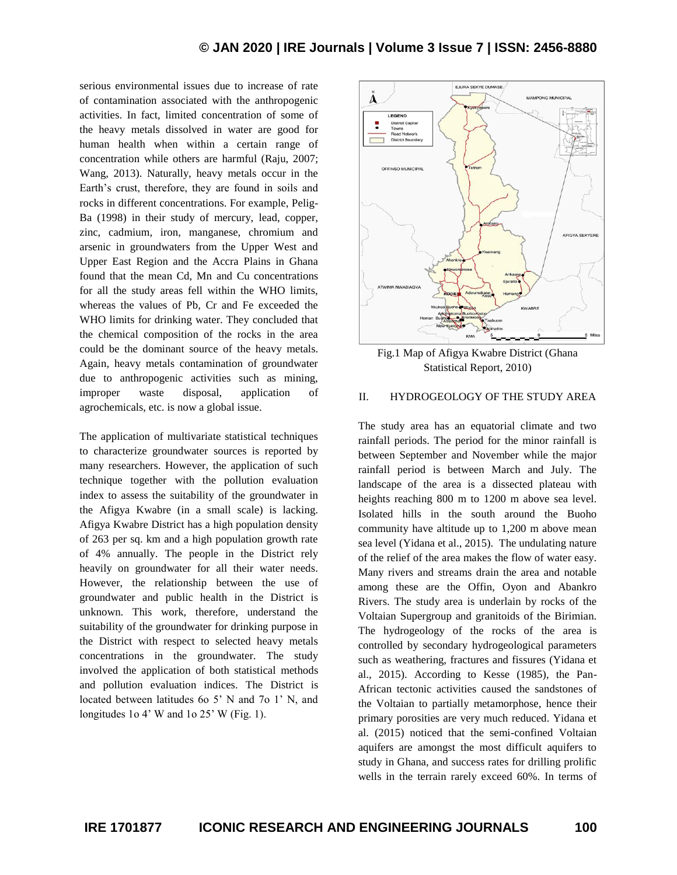serious environmental issues due to increase of rate of contamination associated with the anthropogenic activities. In fact, limited concentration of some of the heavy metals dissolved in water are good for human health when within a certain range of concentration while others are harmful (Raju, 2007; Wang, 2013). Naturally, heavy metals occur in the Earth's crust, therefore, they are found in soils and rocks in different concentrations. For example, Pelig-Ba (1998) in their study of mercury, lead, copper, zinc, cadmium, iron, manganese, chromium and arsenic in groundwaters from the Upper West and Upper East Region and the Accra Plains in Ghana found that the mean Cd, Mn and Cu concentrations for all the study areas fell within the WHO limits, whereas the values of Pb, Cr and Fe exceeded the WHO limits for drinking water. They concluded that the chemical composition of the rocks in the area could be the dominant source of the heavy metals. Again, heavy metals contamination of groundwater due to anthropogenic activities such as mining, improper waste disposal, application of agrochemicals, etc. is now a global issue.

The application of multivariate statistical techniques to characterize groundwater sources is reported by many researchers. However, the application of such technique together with the pollution evaluation index to assess the suitability of the groundwater in the Afigya Kwabre (in a small scale) is lacking. Afigya Kwabre District has a high population density of 263 per sq. km and a high population growth rate of 4% annually. The people in the District rely heavily on groundwater for all their water needs. However, the relationship between the use of groundwater and public health in the District is unknown. This work, therefore, understand the suitability of the groundwater for drinking purpose in the District with respect to selected heavy metals concentrations in the groundwater. The study involved the application of both statistical methods and pollution evaluation indices. The District is located between latitudes 6o 5' N and 7o 1' N, and longitudes 1o 4' W and 1o 25' W (Fig. 1).



Fig.1 Map of Afigya Kwabre District (Ghana Statistical Report, 2010)

### II. HYDROGEOLOGY OF THE STUDY AREA

The study area has an equatorial climate and two rainfall periods. The period for the minor rainfall is between September and November while the major rainfall period is between March and July. The landscape of the area is a dissected plateau with heights reaching 800 m to 1200 m above sea level. Isolated hills in the south around the Buoho community have altitude up to 1,200 m above mean sea level (Yidana et al., 2015). The undulating nature of the relief of the area makes the flow of water easy. Many rivers and streams drain the area and notable among these are the Offin, Oyon and Abankro Rivers. The study area is underlain by rocks of the Voltaian Supergroup and granitoids of the Birimian. The hydrogeology of the rocks of the area is controlled by secondary hydrogeological parameters such as weathering, fractures and fissures (Yidana et al., 2015). According to Kesse (1985), the Pan-African tectonic activities caused the sandstones of the Voltaian to partially metamorphose, hence their primary porosities are very much reduced. Yidana et al. (2015) noticed that the semi-confined Voltaian aquifers are amongst the most difficult aquifers to study in Ghana, and success rates for drilling prolific wells in the terrain rarely exceed 60%. In terms of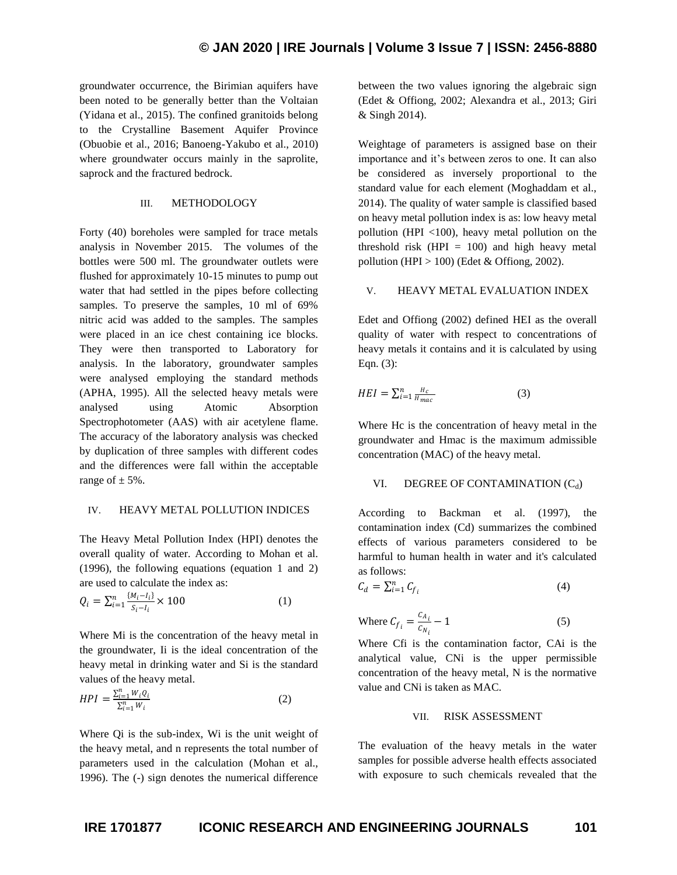groundwater occurrence, the Birimian aquifers have been noted to be generally better than the Voltaian (Yidana et al., 2015). The confined granitoids belong to the Crystalline Basement Aquifer Province (Obuobie et al., 2016; Banoeng-Yakubo et al., 2010) where groundwater occurs mainly in the saprolite, saprock and the fractured bedrock.

#### III. METHODOLOGY

Forty (40) boreholes were sampled for trace metals analysis in November 2015. The volumes of the bottles were 500 ml. The groundwater outlets were flushed for approximately 10-15 minutes to pump out water that had settled in the pipes before collecting samples. To preserve the samples, 10 ml of 69% nitric acid was added to the samples. The samples were placed in an ice chest containing ice blocks. They were then transported to Laboratory for analysis. In the laboratory, groundwater samples were analysed employing the standard methods (APHA, 1995). All the selected heavy metals were analysed using Atomic Absorption Spectrophotometer (AAS) with air acetylene flame. The accuracy of the laboratory analysis was checked by duplication of three samples with different codes and the differences were fall within the acceptable range of  $\pm$  5%.

#### IV. HEAVY METAL POLLUTION INDICES

The Heavy Metal Pollution Index (HPI) denotes the overall quality of water. According to Mohan et al. (1996), the following equations (equation 1 and 2) are used to calculate the index as:

$$
Q_i = \sum_{i=1}^n \frac{\{M_i - I_i\}}{S_i - I_i} \times 100
$$
 (1)

Where Mi is the concentration of the heavy metal in the groundwater, Ii is the ideal concentration of the heavy metal in drinking water and Si is the standard values of the heavy metal.

$$
HPI = \frac{\sum_{i=1}^{n} W_i Q_i}{\sum_{i=1}^{n} W_i}
$$
 (2)

Where Qi is the sub-index, Wi is the unit weight of the heavy metal, and n represents the total number of parameters used in the calculation (Mohan et al., 1996). The (-) sign denotes the numerical difference between the two values ignoring the algebraic sign (Edet & Offiong, 2002; Alexandra et al., 2013; Giri & Singh 2014).

Weightage of parameters is assigned base on their importance and it's between zeros to one. It can also be considered as inversely proportional to the standard value for each element (Moghaddam et al., 2014). The quality of water sample is classified based on heavy metal pollution index is as: low heavy metal pollution (HPI <100), heavy metal pollution on the threshold risk  $(HPI = 100)$  and high heavy metal pollution (HPI  $> 100$ ) (Edet & Offiong, 2002).

#### V. HEAVY METAL EVALUATION INDEX

Edet and Offiong (2002) defined HEI as the overall quality of water with respect to concentrations of heavy metals it contains and it is calculated by using Eqn. (3):

$$
HEI = \sum_{i=1}^{n} \frac{H_c}{H_{mac}} \tag{3}
$$

Where Hc is the concentration of heavy metal in the groundwater and Hmac is the maximum admissible concentration (MAC) of the heavy metal.

#### VI. DEGREE OF CONTAMINATION  $(C_d)$

According to Backman et al. (1997), the contamination index (Cd) summarizes the combined effects of various parameters considered to be harmful to human health in water and it's calculated as follows:

$$
C_d = \sum_{i=1}^n C_{f_i} \tag{4}
$$

Where 
$$
C_{f_i} = \frac{c_{A_i}}{c_{N_i}} - 1
$$
 (5)

Where Cfi is the contamination factor, CAi is the analytical value, CNi is the upper permissible concentration of the heavy metal, N is the normative value and CNi is taken as MAC.

#### VII. RISK ASSESSMENT

The evaluation of the heavy metals in the water samples for possible adverse health effects associated with exposure to such chemicals revealed that the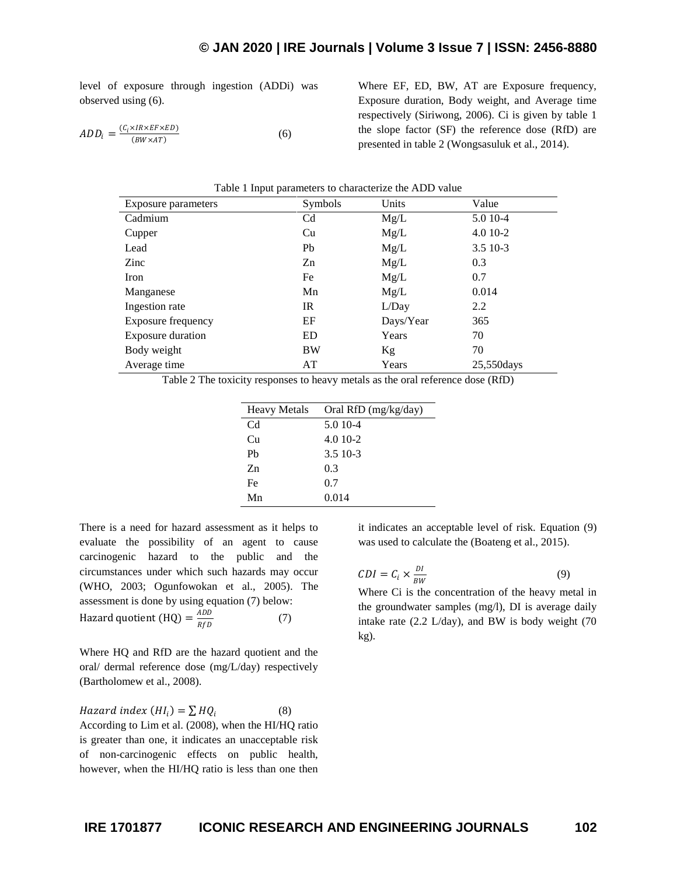level of exposure through ingestion (ADDi) was observed using (6).

$$
ADD_i = \frac{(C_i \times IR \times EF \times ED)}{(BW \times AT)} \tag{6}
$$

Where EF, ED, BW, AT are Exposure frequency, Exposure duration, Body weight, and Average time respectively (Siriwong, 2006). Ci is given by table 1 the slope factor (SF) the reference dose (RfD) are presented in table 2 (Wongsasuluk et al., 2014).

| Table 1 Input parameters to characterize the ADD value |                |           |             |  |  |  |
|--------------------------------------------------------|----------------|-----------|-------------|--|--|--|
| Exposure parameters                                    | Symbols        | Units     | Value       |  |  |  |
| Cadmium                                                | C <sub>d</sub> | Mg/L      | 5.0 10-4    |  |  |  |
| Cupper                                                 | Cu             | Mg/L      | $4.010-2$   |  |  |  |
| Lead                                                   | Pb             | Mg/L      | $3.510-3$   |  |  |  |
| Zinc                                                   | Zn             | Mg/L      | 0.3         |  |  |  |
| Iron                                                   | Fe             | Mg/L      | 0.7         |  |  |  |
| Manganese                                              | Mn             | Mg/L      | 0.014       |  |  |  |
| Ingestion rate                                         | IR             | L/Day     | 2.2         |  |  |  |
| Exposure frequency                                     | EF             | Days/Year | 365         |  |  |  |
| Exposure duration                                      | <b>ED</b>      | Years     | 70          |  |  |  |
| Body weight                                            | <b>BW</b>      | Kg        | 70          |  |  |  |
| Average time                                           | AT             | Years     | 25,550 days |  |  |  |

Table 2 The toxicity responses to heavy metals as the oral reference dose (RfD)

| <b>Heavy Metals</b> | Oral RfD (mg/kg/day) |
|---------------------|----------------------|
| Cd                  | 5.0 10-4             |
| Cп                  | $4.010 - 2$          |
| Ph                  | 3.5 10-3             |
| $Z_{n}$             | 0.3                  |
| Fe                  | 0.7                  |
| Mn                  | 0.014                |

There is a need for hazard assessment as it helps to evaluate the possibility of an agent to cause carcinogenic hazard to the public and the circumstances under which such hazards may occur (WHO, 2003; Ogunfowokan et al., 2005). The assessment is done by using equation (7) below: Hazard quotient (HQ) =  $\frac{ADD}{DSD}$ RfD (7)

Where HQ and RfD are the hazard quotient and the oral/ dermal reference dose (mg/L/day) respectively (Bartholomew et al., 2008).

Hazard index (HI<sub>i</sub>) =  $\sum HQ_i$ (8) According to Lim et al. (2008), when the HI/HQ ratio is greater than one, it indicates an unacceptable risk of non-carcinogenic effects on public health, however, when the HI/HQ ratio is less than one then

it indicates an acceptable level of risk. Equation (9) was used to calculate the (Boateng et al., 2015).

$$
CDI = C_i \times \frac{DI}{BW}
$$
 (9)

Where Ci is the concentration of the heavy metal in the groundwater samples (mg/l), DI is average daily intake rate (2.2 L/day), and BW is body weight (70 kg).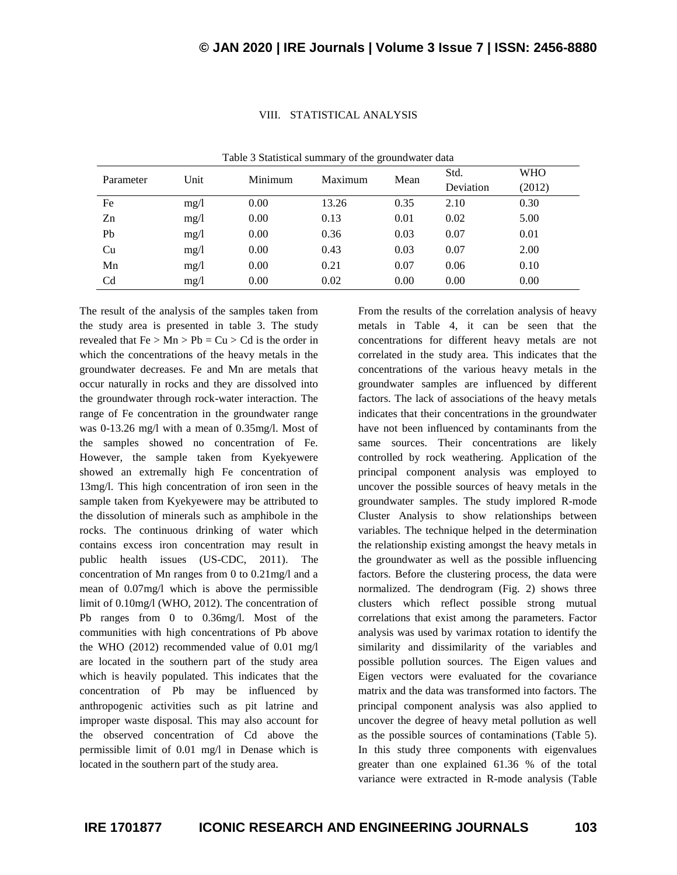|                |      |         | ັ       |      | Std.      | <b>WHO</b> |
|----------------|------|---------|---------|------|-----------|------------|
| Parameter      | Unit | Minimum | Maximum | Mean | Deviation | (2012)     |
| Fe             | mg/1 | 0.00    | 13.26   | 0.35 | 2.10      | 0.30       |
| Zn             | mg/1 | 0.00    | 0.13    | 0.01 | 0.02      | 5.00       |
| Pb             | mg/1 | 0.00    | 0.36    | 0.03 | 0.07      | 0.01       |
| Cu             | mg/1 | 0.00    | 0.43    | 0.03 | 0.07      | 2.00       |
| Mn             | mg/1 | 0.00    | 0.21    | 0.07 | 0.06      | 0.10       |
| C <sub>d</sub> | mg/1 | 0.00    | 0.02    | 0.00 | 0.00      | 0.00       |

#### VIII. STATISTICAL ANALYSIS

| The result of the analysis of the samples taken from   |
|--------------------------------------------------------|
| the study area is presented in table 3. The study      |
| revealed that $Fe > Mn > Pb = Cu > Cd$ is the order in |
| which the concentrations of the heavy metals in the    |
| groundwater decreases. Fe and Mn are metals that       |
| occur naturally in rocks and they are dissolved into   |
| the groundwater through rock-water interaction. The    |
| range of Fe concentration in the groundwater range     |
| was 0-13.26 mg/l with a mean of 0.35mg/l. Most of      |
| the samples showed no concentration of Fe.             |
| However, the sample taken from Kyekyewere              |
| showed an extremally high Fe concentration of          |
| 13mg/l. This high concentration of iron seen in the    |
| sample taken from Kyekyewere may be attributed to      |
| the dissolution of minerals such as amphibole in the   |
| rocks. The continuous drinking of water which          |
| contains excess iron concentration may result in       |
| public health issues (US-CDC, 2011). The               |
| concentration of Mn ranges from 0 to 0.21 mg/l and a   |
| mean of 0.07mg/l which is above the permissible        |
| limit of 0.10mg/l (WHO, 2012). The concentration of    |
| Pb ranges from 0 to 0.36mg/l. Most of the              |
| communities with high concentrations of Pb above       |
| the WHO (2012) recommended value of 0.01 mg/l          |
| are located in the southern part of the study area     |
| which is heavily populated. This indicates that the    |
| concentration of Pb may be influenced<br>by            |
| anthropogenic activities such as pit latrine and       |
| improper waste disposal. This may also account for     |
| the observed concentration of Cd above the             |
| permissible limit of 0.01 mg/l in Denase which is      |
| located in the southern part of the study area.        |

Table 3 Statistical summary of the groundwater data

From the results of the correlation analysis of heavy metals in Table 4, it can be seen that the concentrations for different heavy metals are not correlated in the study area. This indicates that the concentrations of the various heavy metals in the groundwater samples are influenced by different factors. The lack of associations of the heavy metals indicates that their concentrations in the groundwater have not been influenced by contaminants from the same sources. Their concentrations are likely controlled by rock weathering. Application of the principal component analysis was employed to uncover the possible sources of heavy metals in the groundwater samples. The study implored R-mode Cluster Analysis to show relationships between variables. The technique helped in the determination the relationship existing amongst the heavy metals in the groundwater as well as the possible influencing factors. Before the clustering process, the data were normalized. The dendrogram (Fig. 2) shows three clusters which reflect possible strong mutual correlations that exist among the parameters. Factor analysis was used by varimax rotation to identify the similarity and dissimilarity of the variables and possible pollution sources. The Eigen values and Eigen vectors were evaluated for the covariance matrix and the data was transformed into factors. The principal component analysis was also applied to uncover the degree of heavy metal pollution as well as the possible sources of contaminations (Table 5). In this study three components with eigenvalues greater than one explained 61.36 % of the total variance were extracted in R-mode analysis (Table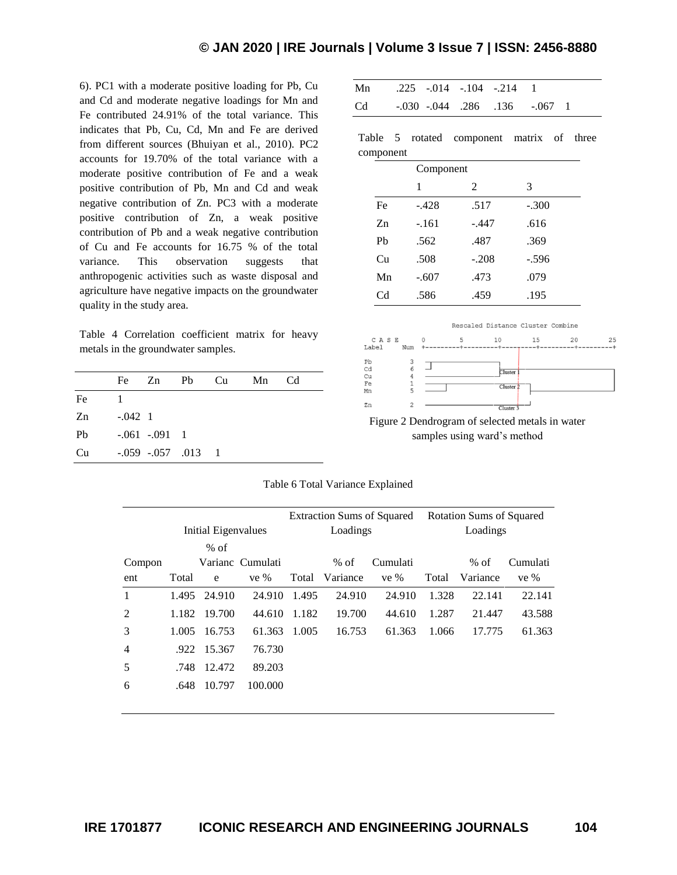6). PC1 with a moderate positive loading for Pb, Cu and Cd and moderate negative loadings for Mn and Fe contributed 24.91% of the total variance. This indicates that Pb, Cu, Cd, Mn and Fe are derived from different sources (Bhuiyan et al., 2010). PC2 accounts for 19.70% of the total variance with a moderate positive contribution of Fe and a weak positive contribution of Pb, Mn and Cd and weak negative contribution of Zn. PC3 with a moderate positive contribution of Zn, a weak positive contribution of Pb and a weak negative contribution of Cu and Fe accounts for 16.75 % of the total variance. This observation suggests that anthropogenic activities such as waste disposal and agriculture have negative impacts on the groundwater quality in the study area.

Table 4 Correlation coefficient matrix for heavy metals in the groundwater samples.

| Fe Zn Pb Cu<br>Mn<br>Cd        |  |
|--------------------------------|--|
| Fe                             |  |
| $-.042 \quad 1$<br>Zn          |  |
| Pb<br>$-.061-.091.1$           |  |
| $-.059$ $-.057$ $.013$ 1<br>Cu |  |

| Mn .225 -.014 -.104 -.214 1 |  |                               |  |  |
|-----------------------------|--|-------------------------------|--|--|
| Cd                          |  | -.030 -.044 .286 .136 -.067 1 |  |  |

Table 5 rotated component matrix of three component

|                | Component |         |         |  |  |
|----------------|-----------|---------|---------|--|--|
|                | 1         | 2       | 3       |  |  |
| Fe             | $-.428$   | .517    | $-.300$ |  |  |
| Zn             | $-.161$   | $-.447$ | .616    |  |  |
| P <sub>b</sub> | .562      | .487    | .369    |  |  |
| Cu             | .508      | $-.208$ | $-.596$ |  |  |
| Mn             | $-.607$   | .473    | .079    |  |  |
| Cd             | .586      | .459    | .195    |  |  |



Figure 2 Dendrogram of selected metals in water samples using ward's method

|                |                     |              |                  | <b>Extraction Sums of Squared</b> |          |          | <b>Rotation Sums of Squared</b> |          |          |  |
|----------------|---------------------|--------------|------------------|-----------------------------------|----------|----------|---------------------------------|----------|----------|--|
|                | Initial Eigenvalues |              |                  | Loadings                          |          |          | Loadings                        |          |          |  |
|                |                     | $%$ of       |                  |                                   |          |          |                                 |          |          |  |
| Compon         |                     |              | Varianc Cumulati |                                   | $%$ of   | Cumulati |                                 | $%$ of   | Cumulati |  |
| ent            | Total               | e            | ve %             | Total                             | Variance | ve $%$   | Total                           | Variance | ve %     |  |
| 1              |                     | 1.495 24.910 | 24.910           | 1.495                             | 24.910   | 24.910   | 1.328                           | 22.141   | 22.141   |  |
| 2              | 1.182               | 19.700       | 44.610           | 1.182                             | 19.700   | 44.610   | 1.287                           | 21.447   | 43.588   |  |
| 3              | 1.005               | 16.753       | 61.363           | 1.005                             | 16.753   | 61.363   | 1.066                           | 17.775   | 61.363   |  |
| $\overline{4}$ |                     | .922 15.367  | 76.730           |                                   |          |          |                                 |          |          |  |
| 5              | .748                | 12.472       | 89.203           |                                   |          |          |                                 |          |          |  |
| 6              | .648                | 10.797       | 100.000          |                                   |          |          |                                 |          |          |  |
|                |                     |              |                  |                                   |          |          |                                 |          |          |  |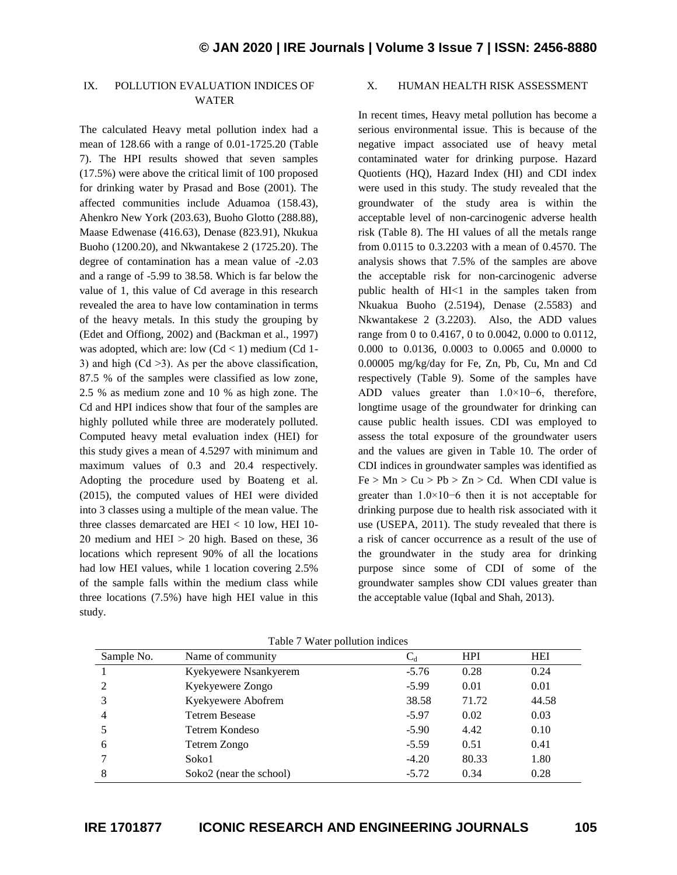### IX. POLLUTION EVALUATION INDICES OF WATER

The calculated Heavy metal pollution index had a mean of 128.66 with a range of 0.01-1725.20 (Table 7). The HPI results showed that seven samples (17.5%) were above the critical limit of 100 proposed for drinking water by Prasad and Bose (2001). The affected communities include Aduamoa (158.43), Ahenkro New York (203.63), Buoho Glotto (288.88), Maase Edwenase (416.63), Denase (823.91), Nkukua Buoho (1200.20), and Nkwantakese 2 (1725.20). The degree of contamination has a mean value of -2.03 and a range of -5.99 to 38.58. Which is far below the value of 1, this value of Cd average in this research revealed the area to have low contamination in terms of the heavy metals. In this study the grouping by (Edet and Offiong, 2002) and (Backman et al., 1997) was adopted, which are: low  $(Cd < 1)$  medium  $(Cd 1$ -3) and high  $(Cd >3)$ . As per the above classification, 87.5 % of the samples were classified as low zone, 2.5 % as medium zone and 10 % as high zone. The Cd and HPI indices show that four of the samples are highly polluted while three are moderately polluted. Computed heavy metal evaluation index (HEI) for this study gives a mean of 4.5297 with minimum and maximum values of 0.3 and 20.4 respectively. Adopting the procedure used by Boateng et al. (2015), the computed values of HEI were divided into 3 classes using a multiple of the mean value. The three classes demarcated are HEI < 10 low, HEI 10- 20 medium and HEI  $> 20$  high. Based on these, 36 locations which represent 90% of all the locations had low HEI values, while 1 location covering 2.5% of the sample falls within the medium class while three locations (7.5%) have high HEI value in this study.

#### X. HUMAN HEALTH RISK ASSESSMENT

In recent times, Heavy metal pollution has become a serious environmental issue. This is because of the negative impact associated use of heavy metal contaminated water for drinking purpose. Hazard Quotients (HQ), Hazard Index (HI) and CDI index were used in this study. The study revealed that the groundwater of the study area is within the acceptable level of non-carcinogenic adverse health risk (Table 8). The HI values of all the metals range from 0.0115 to 0.3.2203 with a mean of 0.4570. The analysis shows that 7.5% of the samples are above the acceptable risk for non-carcinogenic adverse public health of HI<1 in the samples taken from Nkuakua Buoho (2.5194), Denase (2.5583) and Nkwantakese 2 (3.2203). Also, the ADD values range from 0 to 0.4167, 0 to 0.0042, 0.000 to 0.0112, 0.000 to 0.0136, 0.0003 to 0.0065 and 0.0000 to 0.00005 mg/kg/day for Fe, Zn, Pb, Cu, Mn and Cd respectively (Table 9). Some of the samples have ADD values greater than 1.0×10−6, therefore, longtime usage of the groundwater for drinking can cause public health issues. CDI was employed to assess the total exposure of the groundwater users and the values are given in Table 10. The order of CDI indices in groundwater samples was identified as  $Fe > Mn > Cu > Pb > Zn > Cd$ . When CDI value is greater than 1.0×10−6 then it is not acceptable for drinking purpose due to health risk associated with it use (USEPA, 2011). The study revealed that there is a risk of cancer occurrence as a result of the use of the groundwater in the study area for drinking purpose since some of CDI of some of the groundwater samples show CDI values greater than the acceptable value (Iqbal and Shah, 2013).

| Sample No.     | Name of community       | $\mathrm{C}_{\scriptscriptstyle{d}}$ | <b>HPI</b> | <b>HEI</b> |
|----------------|-------------------------|--------------------------------------|------------|------------|
|                | Kyekyewere Nsankyerem   | $-5.76$                              | 0.28       | 0.24       |
|                | Kyekyewere Zongo        | $-5.99$                              | 0.01       | 0.01       |
|                | Kyekyewere Abofrem      | 38.58                                | 71.72      | 44.58      |
| $\overline{4}$ | <b>Tetrem Besease</b>   | $-5.97$                              | 0.02       | 0.03       |
|                | Tetrem Kondeso          | $-5.90$                              | 4.42       | 0.10       |
| 6              | Tetrem Zongo            | $-5.59$                              | 0.51       | 0.41       |
|                | Soko1                   | $-4.20$                              | 80.33      | 1.80       |
| 8              | Soko2 (near the school) | $-5.72$                              | 0.34       | 0.28       |

Table 7 Water pollution indices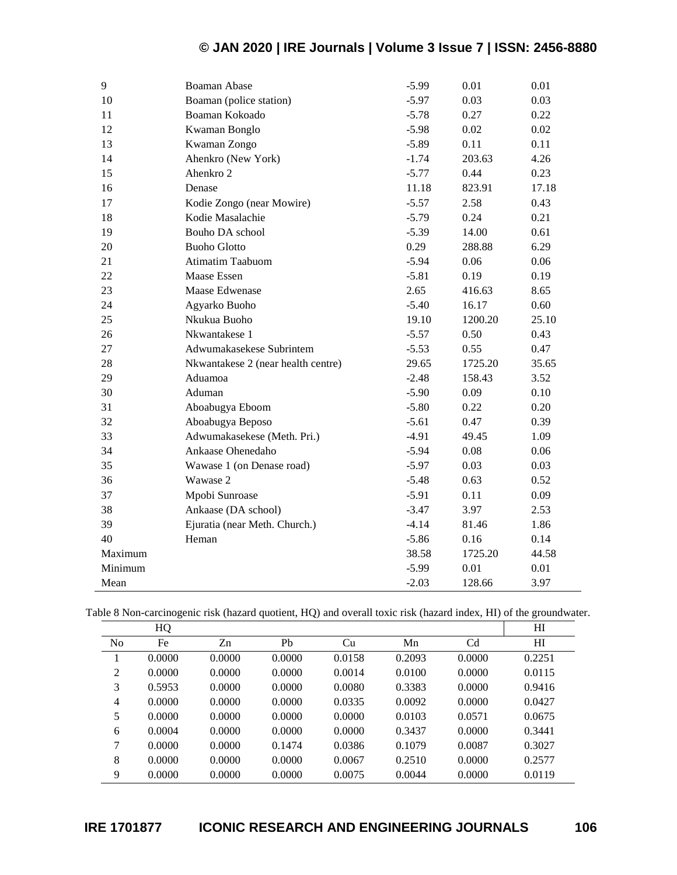| 9       | <b>Boaman Abase</b>                | $-5.99$ | 0.01    | 0.01  |
|---------|------------------------------------|---------|---------|-------|
| 10      | Boaman (police station)            | $-5.97$ | 0.03    | 0.03  |
| 11      | Boaman Kokoado                     | $-5.78$ | 0.27    | 0.22  |
| 12      | Kwaman Bonglo                      | $-5.98$ | 0.02    | 0.02  |
| 13      | Kwaman Zongo                       | $-5.89$ | 0.11    | 0.11  |
| 14      | Ahenkro (New York)                 | $-1.74$ | 203.63  | 4.26  |
| 15      | Ahenkro 2                          | $-5.77$ | 0.44    | 0.23  |
| 16      | Denase                             | 11.18   | 823.91  | 17.18 |
| 17      | Kodie Zongo (near Mowire)          | $-5.57$ | 2.58    | 0.43  |
| 18      | Kodie Masalachie                   | $-5.79$ | 0.24    | 0.21  |
| 19      | Bouho DA school                    | $-5.39$ | 14.00   | 0.61  |
| 20      | <b>Buoho Glotto</b>                | 0.29    | 288.88  | 6.29  |
| 21      | <b>Atimatim Taabuom</b>            | $-5.94$ | 0.06    | 0.06  |
| 22      | Maase Essen                        | $-5.81$ | 0.19    | 0.19  |
| 23      | Maase Edwenase                     | 2.65    | 416.63  | 8.65  |
| 24      | Agyarko Buoho                      | $-5.40$ | 16.17   | 0.60  |
| 25      | Nkukua Buoho                       | 19.10   | 1200.20 | 25.10 |
| 26      | Nkwantakese 1                      | $-5.57$ | 0.50    | 0.43  |
| 27      | Adwumakasekese Subrintem           | $-5.53$ | 0.55    | 0.47  |
| 28      | Nkwantakese 2 (near health centre) | 29.65   | 1725.20 | 35.65 |
| 29      | Aduamoa                            | $-2.48$ | 158.43  | 3.52  |
| 30      | Aduman                             | $-5.90$ | 0.09    | 0.10  |
| 31      | Aboabugya Eboom                    | $-5.80$ | 0.22    | 0.20  |
| 32      | Aboabugya Beposo                   | $-5.61$ | 0.47    | 0.39  |
| 33      | Adwumakasekese (Meth. Pri.)        | $-4.91$ | 49.45   | 1.09  |
| 34      | Ankaase Ohenedaho                  | $-5.94$ | 0.08    | 0.06  |
| 35      | Wawase 1 (on Denase road)          | $-5.97$ | 0.03    | 0.03  |
| 36      | Wawase 2                           | $-5.48$ | 0.63    | 0.52  |
| 37      | Mpobi Sunroase                     | $-5.91$ | 0.11    | 0.09  |
| 38      | Ankaase (DA school)                | $-3.47$ | 3.97    | 2.53  |
| 39      | Ejuratia (near Meth. Church.)      | $-4.14$ | 81.46   | 1.86  |
| 40      | Heman                              | $-5.86$ | 0.16    | 0.14  |
| Maximum |                                    | 38.58   | 1725.20 | 44.58 |
| Minimum |                                    | $-5.99$ | 0.01    | 0.01  |
| Mean    |                                    | $-2.03$ | 128.66  | 3.97  |

|  |  |  | Table 8 Non-carcinogenic risk (hazard quotient, HQ) and overall toxic risk (hazard index, HI) of the groundwater. |  |  |  |  |  |  |
|--|--|--|-------------------------------------------------------------------------------------------------------------------|--|--|--|--|--|--|
|--|--|--|-------------------------------------------------------------------------------------------------------------------|--|--|--|--|--|--|

|                | HQ     |        |        |        |        |                | H      |
|----------------|--------|--------|--------|--------|--------|----------------|--------|
| N <sub>0</sub> | Fe     | Zn     | Pb     | Cu     | Mn     | C <sub>d</sub> | H      |
|                | 0.0000 | 0.0000 | 0.0000 | 0.0158 | 0.2093 | 0.0000         | 0.2251 |
| 2              | 0.0000 | 0.0000 | 0.0000 | 0.0014 | 0.0100 | 0.0000         | 0.0115 |
| 3              | 0.5953 | 0.0000 | 0.0000 | 0.0080 | 0.3383 | 0.0000         | 0.9416 |
| $\overline{4}$ | 0.0000 | 0.0000 | 0.0000 | 0.0335 | 0.0092 | 0.0000         | 0.0427 |
| 5              | 0.0000 | 0.0000 | 0.0000 | 0.0000 | 0.0103 | 0.0571         | 0.0675 |
| 6              | 0.0004 | 0.0000 | 0.0000 | 0.0000 | 0.3437 | 0.0000         | 0.3441 |
| 7              | 0.0000 | 0.0000 | 0.1474 | 0.0386 | 0.1079 | 0.0087         | 0.3027 |
| 8              | 0.0000 | 0.0000 | 0.0000 | 0.0067 | 0.2510 | 0.0000         | 0.2577 |
| 9              | 0.0000 | 0.0000 | 0.0000 | 0.0075 | 0.0044 | 0.0000         | 0.0119 |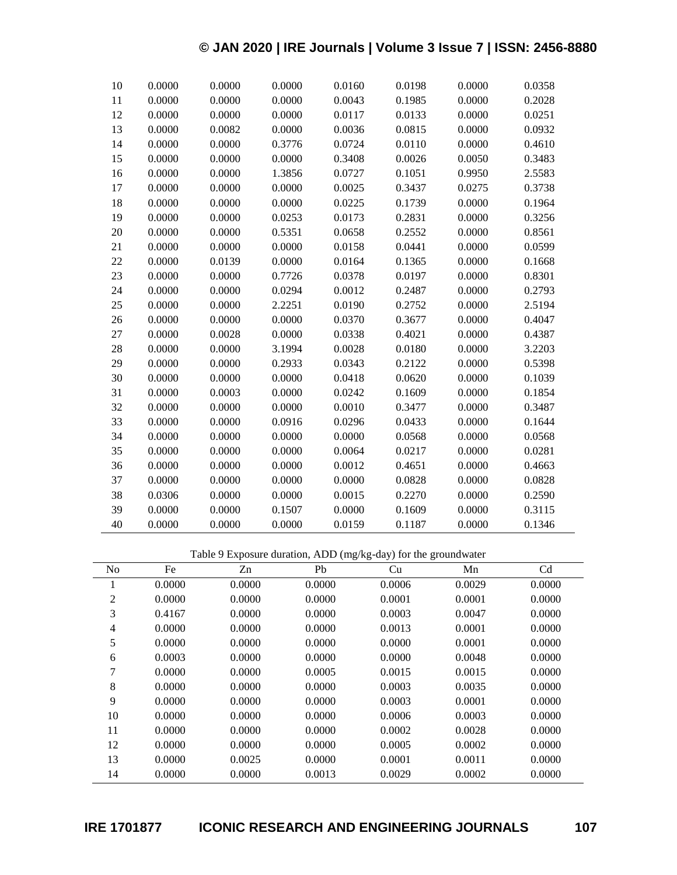| 10 | 0.0000 | 0.0000 | 0.0000 | 0.0160 | 0.0198 | 0.0000 | 0.0358 |
|----|--------|--------|--------|--------|--------|--------|--------|
| 11 | 0.0000 | 0.0000 | 0.0000 | 0.0043 | 0.1985 | 0.0000 | 0.2028 |
| 12 | 0.0000 | 0.0000 | 0.0000 | 0.0117 | 0.0133 | 0.0000 | 0.0251 |
| 13 | 0.0000 | 0.0082 | 0.0000 | 0.0036 | 0.0815 | 0.0000 | 0.0932 |
| 14 | 0.0000 | 0.0000 | 0.3776 | 0.0724 | 0.0110 | 0.0000 | 0.4610 |
| 15 | 0.0000 | 0.0000 | 0.0000 | 0.3408 | 0.0026 | 0.0050 | 0.3483 |
| 16 | 0.0000 | 0.0000 | 1.3856 | 0.0727 | 0.1051 | 0.9950 | 2.5583 |
| 17 | 0.0000 | 0.0000 | 0.0000 | 0.0025 | 0.3437 | 0.0275 | 0.3738 |
| 18 | 0.0000 | 0.0000 | 0.0000 | 0.0225 | 0.1739 | 0.0000 | 0.1964 |
| 19 | 0.0000 | 0.0000 | 0.0253 | 0.0173 | 0.2831 | 0.0000 | 0.3256 |
| 20 | 0.0000 | 0.0000 | 0.5351 | 0.0658 | 0.2552 | 0.0000 | 0.8561 |
| 21 | 0.0000 | 0.0000 | 0.0000 | 0.0158 | 0.0441 | 0.0000 | 0.0599 |
| 22 | 0.0000 | 0.0139 | 0.0000 | 0.0164 | 0.1365 | 0.0000 | 0.1668 |
| 23 | 0.0000 | 0.0000 | 0.7726 | 0.0378 | 0.0197 | 0.0000 | 0.8301 |
| 24 | 0.0000 | 0.0000 | 0.0294 | 0.0012 | 0.2487 | 0.0000 | 0.2793 |
| 25 | 0.0000 | 0.0000 | 2.2251 | 0.0190 | 0.2752 | 0.0000 | 2.5194 |
| 26 | 0.0000 | 0.0000 | 0.0000 | 0.0370 | 0.3677 | 0.0000 | 0.4047 |
| 27 | 0.0000 | 0.0028 | 0.0000 | 0.0338 | 0.4021 | 0.0000 | 0.4387 |
| 28 | 0.0000 | 0.0000 | 3.1994 | 0.0028 | 0.0180 | 0.0000 | 3.2203 |
| 29 | 0.0000 | 0.0000 | 0.2933 | 0.0343 | 0.2122 | 0.0000 | 0.5398 |
| 30 | 0.0000 | 0.0000 | 0.0000 | 0.0418 | 0.0620 | 0.0000 | 0.1039 |
| 31 | 0.0000 | 0.0003 | 0.0000 | 0.0242 | 0.1609 | 0.0000 | 0.1854 |
| 32 | 0.0000 | 0.0000 | 0.0000 | 0.0010 | 0.3477 | 0.0000 | 0.3487 |
| 33 | 0.0000 | 0.0000 | 0.0916 | 0.0296 | 0.0433 | 0.0000 | 0.1644 |
| 34 | 0.0000 | 0.0000 | 0.0000 | 0.0000 | 0.0568 | 0.0000 | 0.0568 |
| 35 | 0.0000 | 0.0000 | 0.0000 | 0.0064 | 0.0217 | 0.0000 | 0.0281 |
| 36 | 0.0000 | 0.0000 | 0.0000 | 0.0012 | 0.4651 | 0.0000 | 0.4663 |
| 37 | 0.0000 | 0.0000 | 0.0000 | 0.0000 | 0.0828 | 0.0000 | 0.0828 |
| 38 | 0.0306 | 0.0000 | 0.0000 | 0.0015 | 0.2270 | 0.0000 | 0.2590 |
| 39 | 0.0000 | 0.0000 | 0.1507 | 0.0000 | 0.1609 | 0.0000 | 0.3115 |
| 40 | 0.0000 | 0.0000 | 0.0000 | 0.0159 | 0.1187 | 0.0000 | 0.1346 |

Table 9 Exposure duration, ADD (mg/kg-day) for the groundwater

| N <sub>0</sub> | Fe     | Zn     | Pb     | Cu     | Mn     | C <sub>d</sub> |
|----------------|--------|--------|--------|--------|--------|----------------|
| $\mathbf{I}$   | 0.0000 | 0.0000 | 0.0000 | 0.0006 | 0.0029 | 0.0000         |
| 2              | 0.0000 | 0.0000 | 0.0000 | 0.0001 | 0.0001 | 0.0000         |
| 3              | 0.4167 | 0.0000 | 0.0000 | 0.0003 | 0.0047 | 0.0000         |
| 4              | 0.0000 | 0.0000 | 0.0000 | 0.0013 | 0.0001 | 0.0000         |
| 5              | 0.0000 | 0.0000 | 0.0000 | 0.0000 | 0.0001 | 0.0000         |
| 6              | 0.0003 | 0.0000 | 0.0000 | 0.0000 | 0.0048 | 0.0000         |
| 7              | 0.0000 | 0.0000 | 0.0005 | 0.0015 | 0.0015 | 0.0000         |
| 8              | 0.0000 | 0.0000 | 0.0000 | 0.0003 | 0.0035 | 0.0000         |
| 9              | 0.0000 | 0.0000 | 0.0000 | 0.0003 | 0.0001 | 0.0000         |
| 10             | 0.0000 | 0.0000 | 0.0000 | 0.0006 | 0.0003 | 0.0000         |
| 11             | 0.0000 | 0.0000 | 0.0000 | 0.0002 | 0.0028 | 0.0000         |
| 12             | 0.0000 | 0.0000 | 0.0000 | 0.0005 | 0.0002 | 0.0000         |
| 13             | 0.0000 | 0.0025 | 0.0000 | 0.0001 | 0.0011 | 0.0000         |
| 14             | 0.0000 | 0.0000 | 0.0013 | 0.0029 | 0.0002 | 0.0000         |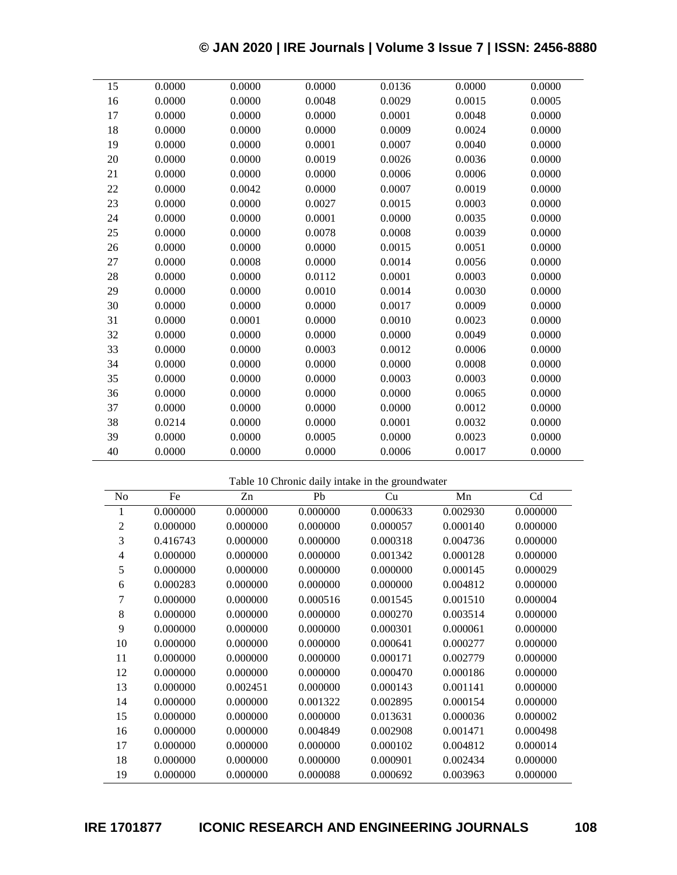| 15 | 0.0000 | 0.0000 | 0.0000 | 0.0136 | 0.0000 | 0.0000 |
|----|--------|--------|--------|--------|--------|--------|
| 16 | 0.0000 | 0.0000 | 0.0048 | 0.0029 | 0.0015 | 0.0005 |
| 17 | 0.0000 | 0.0000 | 0.0000 | 0.0001 | 0.0048 | 0.0000 |
| 18 | 0.0000 | 0.0000 | 0.0000 | 0.0009 | 0.0024 | 0.0000 |
| 19 | 0.0000 | 0.0000 | 0.0001 | 0.0007 | 0.0040 | 0.0000 |
| 20 | 0.0000 | 0.0000 | 0.0019 | 0.0026 | 0.0036 | 0.0000 |
| 21 | 0.0000 | 0.0000 | 0.0000 | 0.0006 | 0.0006 | 0.0000 |
| 22 | 0.0000 | 0.0042 | 0.0000 | 0.0007 | 0.0019 | 0.0000 |
| 23 | 0.0000 | 0.0000 | 0.0027 | 0.0015 | 0.0003 | 0.0000 |
| 24 | 0.0000 | 0.0000 | 0.0001 | 0.0000 | 0.0035 | 0.0000 |
| 25 | 0.0000 | 0.0000 | 0.0078 | 0.0008 | 0.0039 | 0.0000 |
| 26 | 0.0000 | 0.0000 | 0.0000 | 0.0015 | 0.0051 | 0.0000 |
| 27 | 0.0000 | 0.0008 | 0.0000 | 0.0014 | 0.0056 | 0.0000 |
| 28 | 0.0000 | 0.0000 | 0.0112 | 0.0001 | 0.0003 | 0.0000 |
| 29 | 0.0000 | 0.0000 | 0.0010 | 0.0014 | 0.0030 | 0.0000 |
| 30 | 0.0000 | 0.0000 | 0.0000 | 0.0017 | 0.0009 | 0.0000 |
| 31 | 0.0000 | 0.0001 | 0.0000 | 0.0010 | 0.0023 | 0.0000 |
| 32 | 0.0000 | 0.0000 | 0.0000 | 0.0000 | 0.0049 | 0.0000 |
| 33 | 0.0000 | 0.0000 | 0.0003 | 0.0012 | 0.0006 | 0.0000 |
| 34 | 0.0000 | 0.0000 | 0.0000 | 0.0000 | 0.0008 | 0.0000 |
| 35 | 0.0000 | 0.0000 | 0.0000 | 0.0003 | 0.0003 | 0.0000 |
| 36 | 0.0000 | 0.0000 | 0.0000 | 0.0000 | 0.0065 | 0.0000 |
| 37 | 0.0000 | 0.0000 | 0.0000 | 0.0000 | 0.0012 | 0.0000 |
| 38 | 0.0214 | 0.0000 | 0.0000 | 0.0001 | 0.0032 | 0.0000 |
| 39 | 0.0000 | 0.0000 | 0.0005 | 0.0000 | 0.0023 | 0.0000 |
| 40 | 0.0000 | 0.0000 | 0.0000 | 0.0006 | 0.0017 | 0.0000 |
|    |        |        |        |        |        |        |

Table 10 Chronic daily intake in the groundwater

| N <sub>0</sub> | Fe       | Zn       | Pb       | Cu       | Mn       | C <sub>d</sub> |
|----------------|----------|----------|----------|----------|----------|----------------|
| 1              | 0.000000 | 0.000000 | 0.000000 | 0.000633 | 0.002930 | 0.000000       |
| $\overline{2}$ | 0.000000 | 0.000000 | 0.000000 | 0.000057 | 0.000140 | 0.000000       |
| 3              | 0.416743 | 0.000000 | 0.000000 | 0.000318 | 0.004736 | 0.000000       |
| 4              | 0.000000 | 0.000000 | 0.000000 | 0.001342 | 0.000128 | 0.000000       |
| 5              | 0.000000 | 0.000000 | 0.000000 | 0.000000 | 0.000145 | 0.000029       |
| 6              | 0.000283 | 0.000000 | 0.000000 | 0.000000 | 0.004812 | 0.000000       |
| 7              | 0.000000 | 0.000000 | 0.000516 | 0.001545 | 0.001510 | 0.000004       |
| 8              | 0.000000 | 0.000000 | 0.000000 | 0.000270 | 0.003514 | 0.000000       |
| 9              | 0.000000 | 0.000000 | 0.000000 | 0.000301 | 0.000061 | 0.000000       |
| 10             | 0.000000 | 0.000000 | 0.000000 | 0.000641 | 0.000277 | 0.000000       |
| 11             | 0.000000 | 0.000000 | 0.000000 | 0.000171 | 0.002779 | 0.000000       |
| 12             | 0.000000 | 0.000000 | 0.000000 | 0.000470 | 0.000186 | 0.000000       |
| 13             | 0.000000 | 0.002451 | 0.000000 | 0.000143 | 0.001141 | 0.000000       |
| 14             | 0.000000 | 0.000000 | 0.001322 | 0.002895 | 0.000154 | 0.000000       |
| 15             | 0.000000 | 0.000000 | 0.000000 | 0.013631 | 0.000036 | 0.000002       |
| 16             | 0.000000 | 0.000000 | 0.004849 | 0.002908 | 0.001471 | 0.000498       |
| 17             | 0.000000 | 0.000000 | 0.000000 | 0.000102 | 0.004812 | 0.000014       |
| 18             | 0.000000 | 0.000000 | 0.000000 | 0.000901 | 0.002434 | 0.000000       |
| 19             | 0.000000 | 0.000000 | 0.000088 | 0.000692 | 0.003963 | 0.000000       |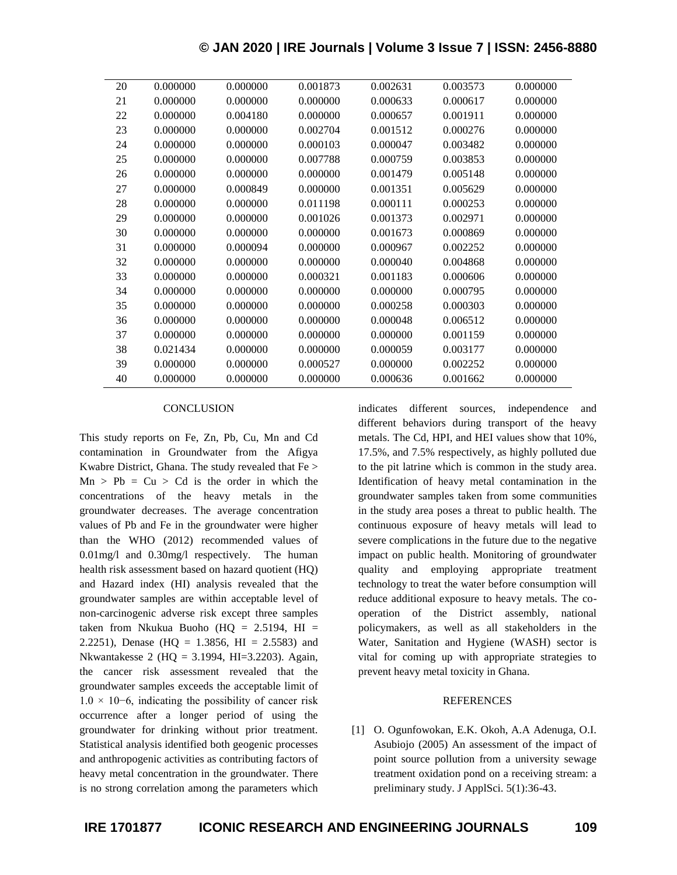| 20 | 0.000000 | 0.000000 | 0.001873 | 0.002631 | 0.003573 | 0.000000 |
|----|----------|----------|----------|----------|----------|----------|
| 21 | 0.000000 | 0.000000 | 0.000000 | 0.000633 | 0.000617 | 0.000000 |
| 22 | 0.000000 | 0.004180 | 0.000000 | 0.000657 | 0.001911 | 0.000000 |
| 23 | 0.000000 | 0.000000 | 0.002704 | 0.001512 | 0.000276 | 0.000000 |
| 24 | 0.000000 | 0.000000 | 0.000103 | 0.000047 | 0.003482 | 0.000000 |
| 25 | 0.000000 | 0.000000 | 0.007788 | 0.000759 | 0.003853 | 0.000000 |
| 26 | 0.000000 | 0.000000 | 0.000000 | 0.001479 | 0.005148 | 0.000000 |
| 27 | 0.000000 | 0.000849 | 0.000000 | 0.001351 | 0.005629 | 0.000000 |
| 28 | 0.000000 | 0.000000 | 0.011198 | 0.000111 | 0.000253 | 0.000000 |
| 29 | 0.000000 | 0.000000 | 0.001026 | 0.001373 | 0.002971 | 0.000000 |
| 30 | 0.000000 | 0.000000 | 0.000000 | 0.001673 | 0.000869 | 0.000000 |
| 31 | 0.000000 | 0.000094 | 0.000000 | 0.000967 | 0.002252 | 0.000000 |
| 32 | 0.000000 | 0.000000 | 0.000000 | 0.000040 | 0.004868 | 0.000000 |
| 33 | 0.000000 | 0.000000 | 0.000321 | 0.001183 | 0.000606 | 0.000000 |
| 34 | 0.000000 | 0.000000 | 0.000000 | 0.000000 | 0.000795 | 0.000000 |
| 35 | 0.000000 | 0.000000 | 0.000000 | 0.000258 | 0.000303 | 0.000000 |
| 36 | 0.000000 | 0.000000 | 0.000000 | 0.000048 | 0.006512 | 0.000000 |
| 37 | 0.000000 | 0.000000 | 0.000000 | 0.000000 | 0.001159 | 0.000000 |
| 38 | 0.021434 | 0.000000 | 0.000000 | 0.000059 | 0.003177 | 0.000000 |
| 39 | 0.000000 | 0.000000 | 0.000527 | 0.000000 | 0.002252 | 0.000000 |
| 40 | 0.000000 | 0.000000 | 0.000000 | 0.000636 | 0.001662 | 0.000000 |
|    |          |          |          |          |          |          |

#### **CONCLUSION**

This study reports on Fe, Zn, Pb, Cu, Mn and Cd contamination in Groundwater from the Afigya Kwabre District, Ghana. The study revealed that Fe >  $Mn > Pb = Cu > Cd$  is the order in which the concentrations of the heavy metals in the groundwater decreases. The average concentration values of Pb and Fe in the groundwater were higher than the WHO (2012) recommended values of 0.01mg/l and 0.30mg/l respectively. The human health risk assessment based on hazard quotient (HQ) and Hazard index (HI) analysis revealed that the groundwater samples are within acceptable level of non-carcinogenic adverse risk except three samples taken from Nkukua Buoho (HQ =  $2.5194$ , HI = 2.2251), Denase (HQ = 1.3856, HI = 2.5583) and Nkwantakesse 2 (HQ = 3.1994, HI=3.2203). Again, the cancer risk assessment revealed that the groundwater samples exceeds the acceptable limit of  $1.0 \times 10^{-6}$ , indicating the possibility of cancer risk occurrence after a longer period of using the groundwater for drinking without prior treatment. Statistical analysis identified both geogenic processes and anthropogenic activities as contributing factors of heavy metal concentration in the groundwater. There is no strong correlation among the parameters which

indicates different sources, independence and different behaviors during transport of the heavy metals. The Cd, HPI, and HEI values show that 10%, 17.5%, and 7.5% respectively, as highly polluted due to the pit latrine which is common in the study area. Identification of heavy metal contamination in the groundwater samples taken from some communities in the study area poses a threat to public health. The continuous exposure of heavy metals will lead to severe complications in the future due to the negative impact on public health. Monitoring of groundwater quality and employing appropriate treatment technology to treat the water before consumption will reduce additional exposure to heavy metals. The cooperation of the District assembly, national policymakers, as well as all stakeholders in the Water, Sanitation and Hygiene (WASH) sector is vital for coming up with appropriate strategies to prevent heavy metal toxicity in Ghana.

#### **REFERENCES**

[1] O. Ogunfowokan, E.K. Okoh, A.A Adenuga, O.I. Asubiojo (2005) An assessment of the impact of point source pollution from a university sewage treatment oxidation pond on a receiving stream: a preliminary study. J ApplSci. 5(1):36-43.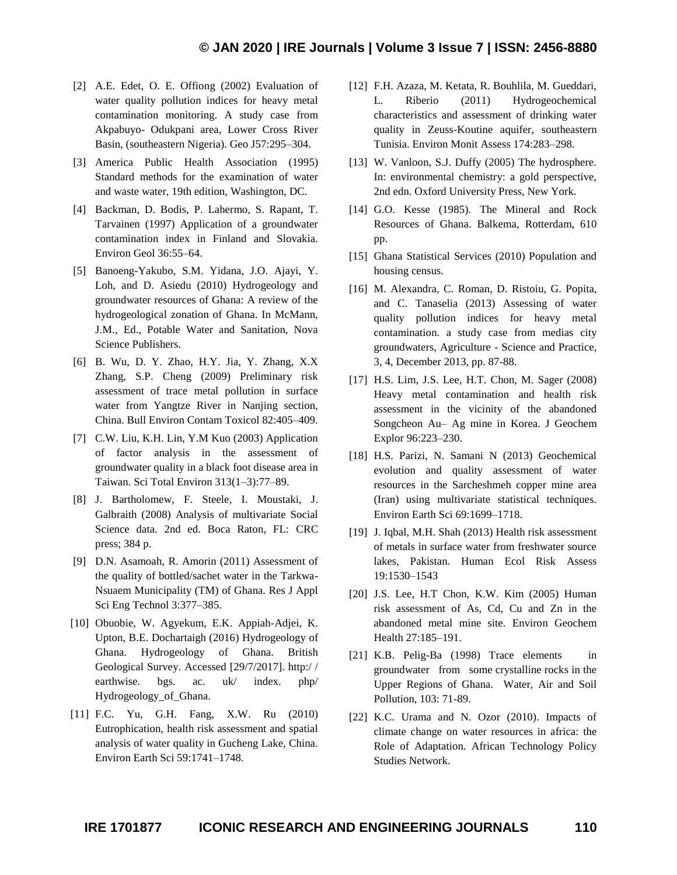- [2] A.E. Edet, O. E. Offiong (2002) Evaluation of water quality pollution indices for heavy metal contamination monitoring. A study case from Akpabuyo- Odukpani area, Lower Cross River Basin, (southeastern Nigeria). Geo J57:295–304.
- [3] America Public Health Association (1995) Standard methods for the examination of water and waste water, 19th edition, Washington, DC.
- [4] Backman, D. Bodis, P. Lahermo, S. Rapant, T. Tarvainen (1997) Application of a groundwater contamination index in Finland and Slovakia. Environ Geol 36:55–64.
- [5] Banoeng-Yakubo, S.M. Yidana, J.O. Ajayi, Y. Loh, and D. Asiedu (2010) Hydrogeology and groundwater resources of Ghana: A review of the hydrogeological zonation of Ghana. In McMann, J.M., Ed., Potable Water and Sanitation, Nova Science Publishers.
- [6] B. Wu, D. Y. Zhao, H.Y. Jia, Y. Zhang, X.X Zhang, S.P. Cheng (2009) Preliminary risk assessment of trace metal pollution in surface water from Yangtze River in Nanjing section, China. Bull Environ Contam Toxicol 82:405–409.
- [7] C.W. Liu, K.H. Lin, Y.M Kuo (2003) Application of factor analysis in the assessment of groundwater quality in a black foot disease area in Taiwan. Sci Total Environ 313(1–3):77–89.
- [8] J. Bartholomew, F. Steele, I. Moustaki, J. Galbraith (2008) Analysis of multivariate Social Science data. 2nd ed. Boca Raton, FL: CRC press; 384 p.
- [9] D.N. Asamoah, R. Amorin (2011) Assessment of the quality of bottled/sachet water in the Tarkwa-Nsuaem Municipality (TM) of Ghana. Res J Appl Sci Eng Technol 3:377–385.
- [10] Obuobie, W. Agyekum, E.K. Appiah-Adjei, K. Upton, B.E. Dochartaigh (2016) Hydrogeology of Ghana. Hydrogeology of Ghana. British Geological Survey. Accessed [29/7/2017]. http:/ / earthwise. bgs. ac. uk/ index. php/ Hydrogeology\_of\_Ghana.
- [11] F.C. Yu, G.H. Fang, X.W. Ru (2010) Eutrophication, health risk assessment and spatial analysis of water quality in Gucheng Lake, China. Environ Earth Sci 59:1741–1748.
- [12] F.H. Azaza, M. Ketata, R. Bouhlila, M. Gueddari, L. Riberio (2011) Hydrogeochemical characteristics and assessment of drinking water quality in Zeuss-Koutine aquifer, southeastern Tunisia. Environ Monit Assess 174:283–298.
- [13] W. Vanloon, S.J. Duffy (2005) The hydrosphere. In: environmental chemistry: a gold perspective, 2nd edn. Oxford University Press, New York.
- [14] G.O. Kesse (1985). The Mineral and Rock Resources of Ghana. Balkema, Rotterdam, 610 pp.
- [15] Ghana Statistical Services (2010) Population and housing census.
- [16] M. Alexandra, C. Roman, D. Ristoiu, G. Popita, and C. Tanaselia (2013) Assessing of water quality pollution indices for heavy metal contamination. a study case from medias city groundwaters, Agriculture - Science and Practice, 3, 4, December 2013, pp. 87-88.
- [17] H.S. Lim, J.S. Lee, H.T. Chon, M. Sager (2008) Heavy metal contamination and health risk assessment in the vicinity of the abandoned Songcheon Au– Ag mine in Korea. J Geochem Explor 96:223–230.
- [18] H.S. Parizi, N. Samani N (2013) Geochemical evolution and quality assessment of water resources in the Sarcheshmeh copper mine area (Iran) using multivariate statistical techniques. Environ Earth Sci 69:1699–1718.
- [19] J. Iqbal, M.H. Shah (2013) Health risk assessment of metals in surface water from freshwater source lakes, Pakistan. Human Ecol Risk Assess 19:1530–1543
- [20] J.S. Lee, H.T Chon, K.W. Kim (2005) Human risk assessment of As, Cd, Cu and Zn in the abandoned metal mine site. Environ Geochem Health 27:185–191.
- [21] K.B. Pelig-Ba (1998) Trace elements in groundwater from some crystalline rocks in the Upper Regions of Ghana. Water, Air and Soil Pollution, 103: 71-89.
- [22] K.C. Urama and N. Ozor (2010). Impacts of climate change on water resources in africa: the Role of Adaptation. African Technology Policy Studies Network.